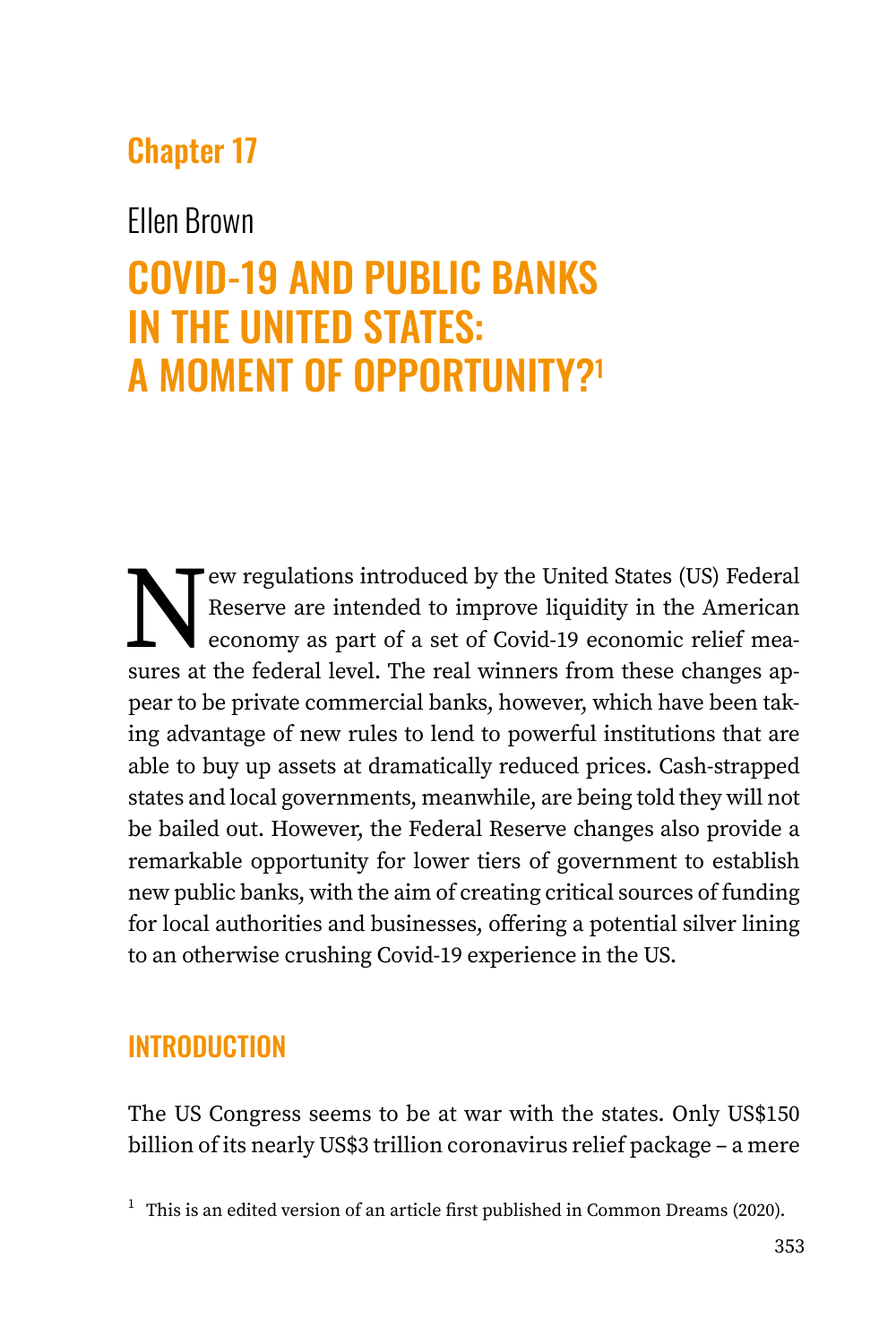## Chapter 17

### Ellen Brown

# COVID-19 AND PUBLIC BANKS IN THE UNITED STATES: A MOMENT OF OPPORTUNITY?1

New regulations introduced by the United States (US) Federal<br>Reserve are intended to improve liquidity in the American<br>economy as part of a set of Covid-19 economic relief mea-<br>sures at the federal level. The real winners Reserve are intended to improve liquidity in the American economy as part of a set of Covid-19 economic relief measures at the federal level. The real winners from these changes appear to be private commercial banks, however, which have been taking advantage of new rules to lend to powerful institutions that are able to buy up assets at dramatically reduced prices. Cash-strapped states and local governments, meanwhile, are being told they will not be bailed out. However, the Federal Reserve changes also provide a remarkable opportunity for lower tiers of government to establish new public banks, with the aim of creating critical sources of funding for local authorities and businesses, offering a potential silver lining to an otherwise crushing Covid-19 experience in the US.

### **INTRODUCTION**

The US Congress seems to be at war with the states. Only US\$150 billion of its nearly US\$3 trillion coronavirus relief package – a mere

<sup>&</sup>lt;sup>1</sup> This is an edited version of an article first published in Common Dreams (2020).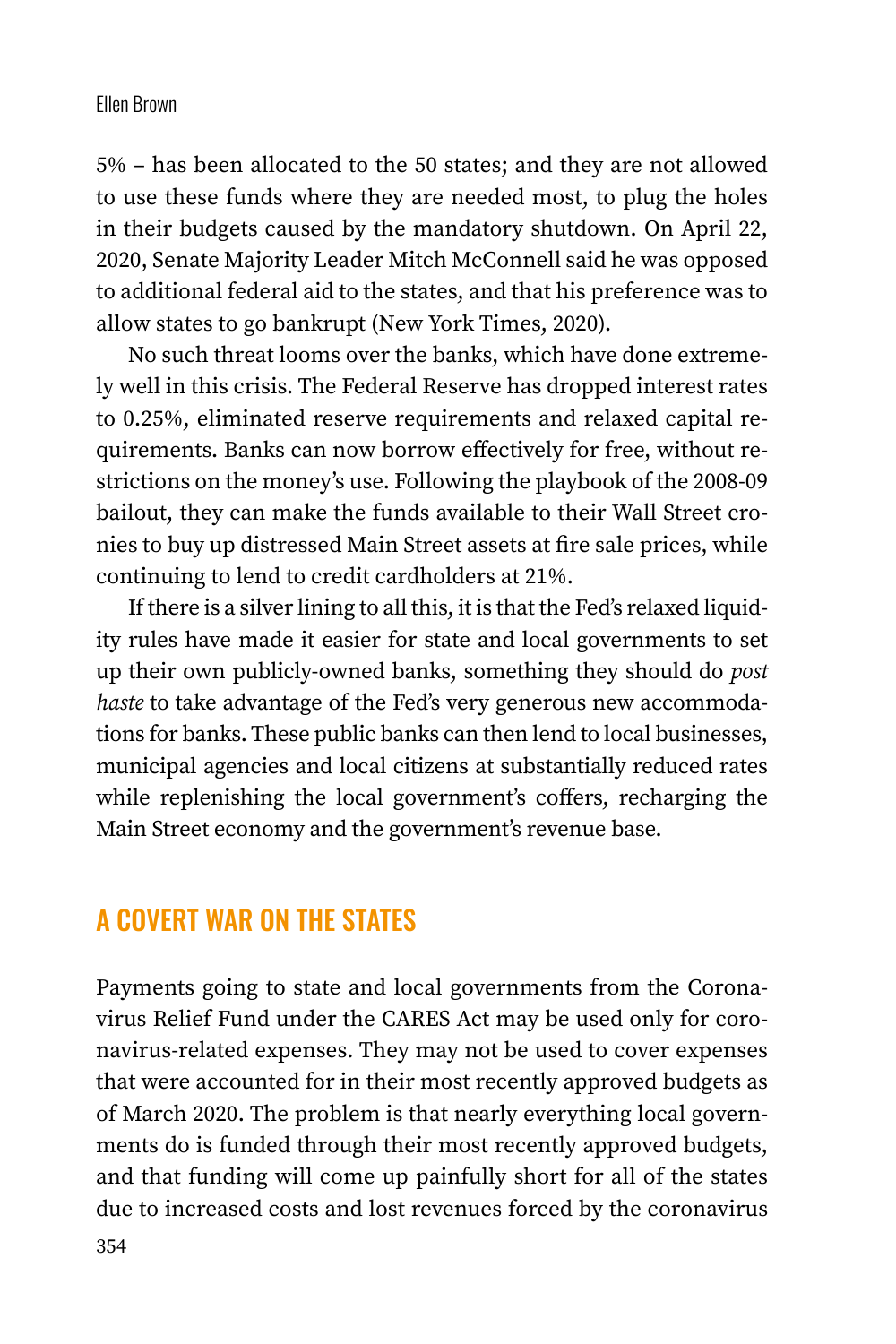#### Ellen Brown

5% – has been allocated to the 50 states; and they are not allowed to use these funds where they are needed most, to plug the holes in their budgets caused by the mandatory shutdown. On April 22, 2020, Senate Majority Leader Mitch McConnell said he was opposed to additional federal aid to the states, and that his preference was to allow states to go bankrupt (New York Times, 2020).

No such threat looms over the banks, which have done extremely well in this crisis. The Federal Reserve has dropped interest rates to 0.25%, eliminated reserve requirements and relaxed capital requirements. Banks can now borrow effectively for free, without restrictions on the money's use. Following the playbook of the 2008-09 bailout, they can make the funds available to their Wall Street cronies to buy up distressed Main Street assets at fire sale prices, while continuing to lend to credit cardholders at 21%.

If there is a silver lining to all this, it is that the Fed's relaxed liquidity rules have made it easier for state and local governments to set up their own publicly-owned banks, something they should do *post haste* to take advantage of the Fed's very generous new accommodations for banks. These public banks can then lend to local businesses, municipal agencies and local citizens at substantially reduced rates while replenishing the local government's coffers, recharging the Main Street economy and the government's revenue base.

#### A COVERT WAR ON THE STATES

Payments going to state and local governments from the Coronavirus Relief Fund under the CARES Act may be used only for coronavirus-related expenses. They may not be used to cover expenses that were accounted for in their most recently approved budgets as of March 2020. The problem is that nearly everything local governments do is funded through their most recently approved budgets, and that funding will come up painfully short for all of the states due to increased costs and lost revenues forced by the coronavirus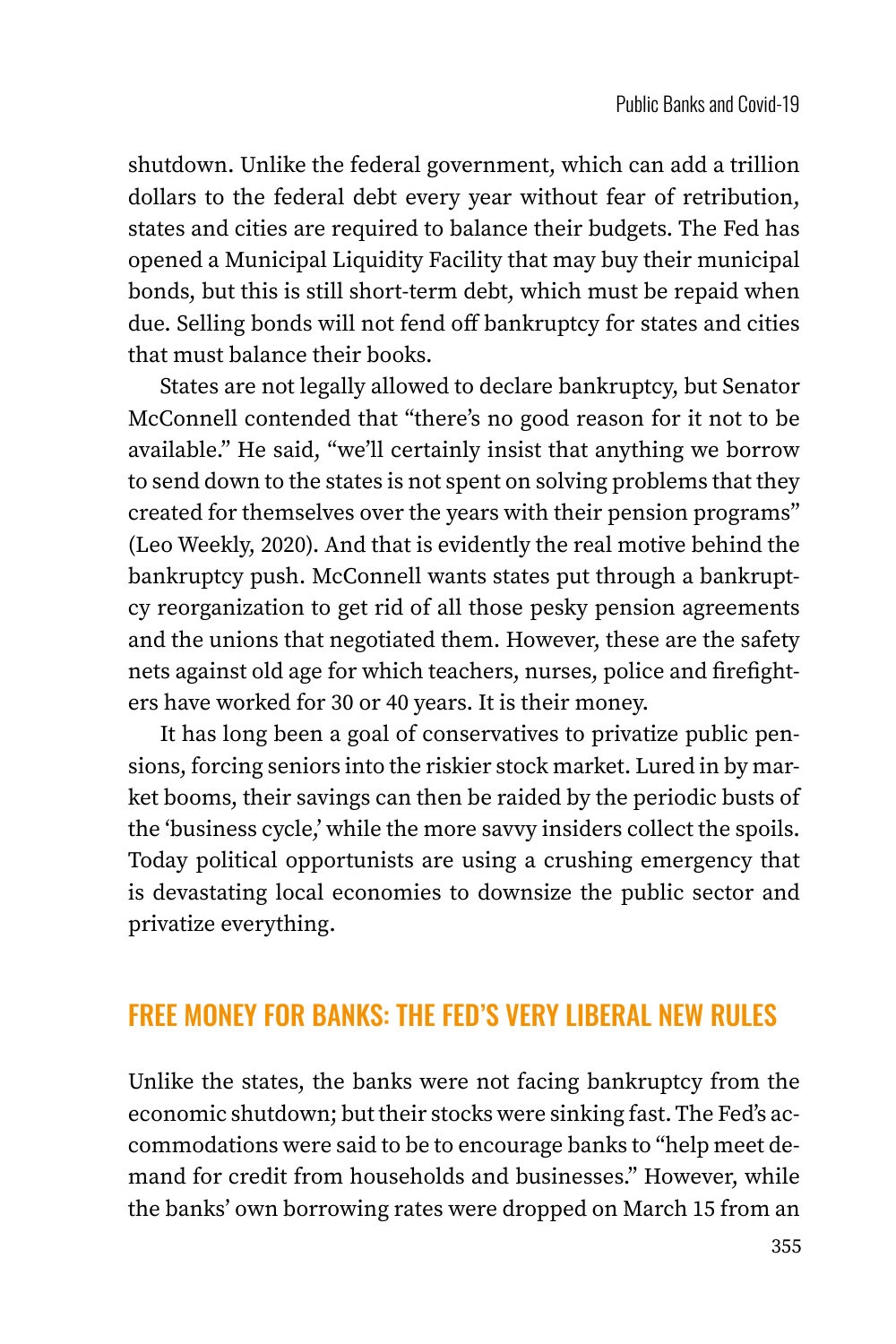shutdown. Unlike the federal government, which can add a trillion dollars to the federal debt every year without fear of retribution, states and cities are required to balance their budgets. The Fed has opened a Municipal Liquidity Facility that may buy their municipal bonds, but this is still short-term debt, which must be repaid when due. Selling bonds will not fend off bankruptcy for states and cities that must balance their books.

States are not legally allowed to declare bankruptcy, but Senator McConnell contended that "there's no good reason for it not to be available." He said, "we'll certainly insist that anything we borrow to send down to the states is not spent on solving problems that they created for themselves over the years with their pension programs" (Leo Weekly, 2020). And that is evidently the real motive behind the bankruptcy push. McConnell wants states put through a bankruptcy reorganization to get rid of all those pesky pension agreements and the unions that negotiated them. However, these are the safety nets against old age for which teachers, nurses, police and firefighters have worked for 30 or 40 years. It is their money.

It has long been a goal of conservatives to privatize public pensions, forcing seniors into the riskier stock market. Lured in by market booms, their savings can then be raided by the periodic busts of the 'business cycle,' while the more savvy insiders collect the spoils. Today political opportunists are using a crushing emergency that is devastating local economies to downsize the public sector and privatize everything.

### FREE MONEY FOR BANKS: THE FED'S VERY LIBERAL NEW RULES

Unlike the states, the banks were not facing bankruptcy from the economic shutdown; but their stocks were sinking fast. The Fed's accommodations were said to be to encourage banks to "help meet demand for credit from households and businesses." However, while the banks' own borrowing rates were dropped on March 15 from an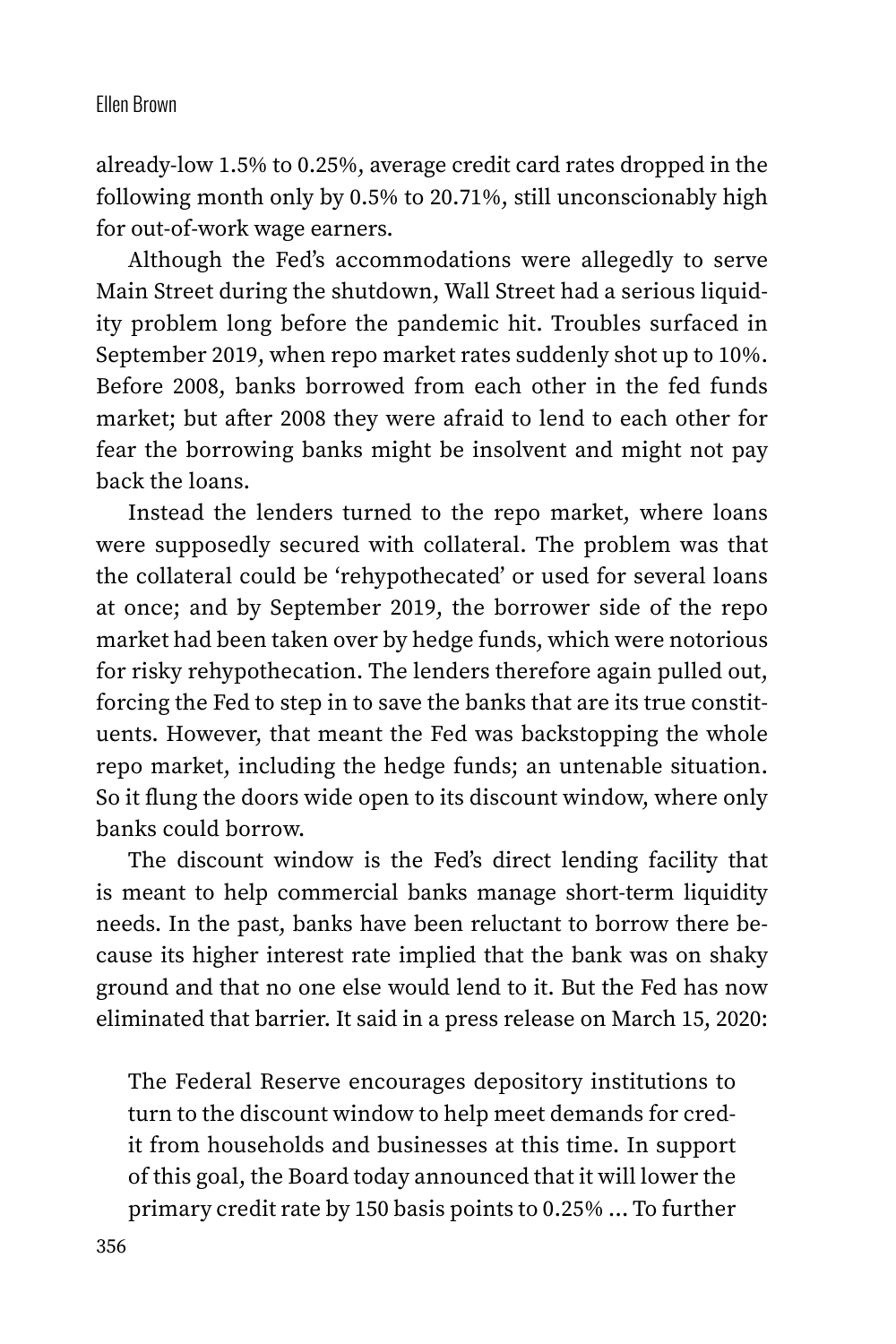#### Ellen Brown

already-low 1.5% to 0.25%, average credit card rates dropped in the following month only by 0.5% to 20.71%, still unconscionably high for out-of-work wage earners.

Although the Fed's accommodations were allegedly to serve Main Street during the shutdown, Wall Street had a serious liquidity problem long before the pandemic hit. Troubles surfaced in September 2019, when repo market rates suddenly shot up to 10%. Before 2008, banks borrowed from each other in the fed funds market; but after 2008 they were afraid to lend to each other for fear the borrowing banks might be insolvent and might not pay back the loans.

Instead the lenders turned to the repo market, where loans were supposedly secured with collateral. The problem was that the collateral could be 'rehypothecated' or used for several loans at once; and by September 2019, the borrower side of the repo market had been taken over by hedge funds, which were notorious for risky rehypothecation. The lenders therefore again pulled out, forcing the Fed to step in to save the banks that are its true constituents. However, that meant the Fed was backstopping the whole repo market, including the hedge funds; an untenable situation. So it flung the doors wide open to its discount window, where only banks could borrow.

The discount window is the Fed's direct lending facility that is meant to help commercial banks manage short-term liquidity needs. In the past, banks have been reluctant to borrow there because its higher interest rate implied that the bank was on shaky ground and that no one else would lend to it. But the Fed has now eliminated that barrier. It said in a press release on March 15, 2020:

The Federal Reserve encourages depository institutions to turn to the discount window to help meet demands for credit from households and businesses at this time. In support of this goal, the Board today announced that it will lower the primary credit rate by 150 basis points to 0.25% … To further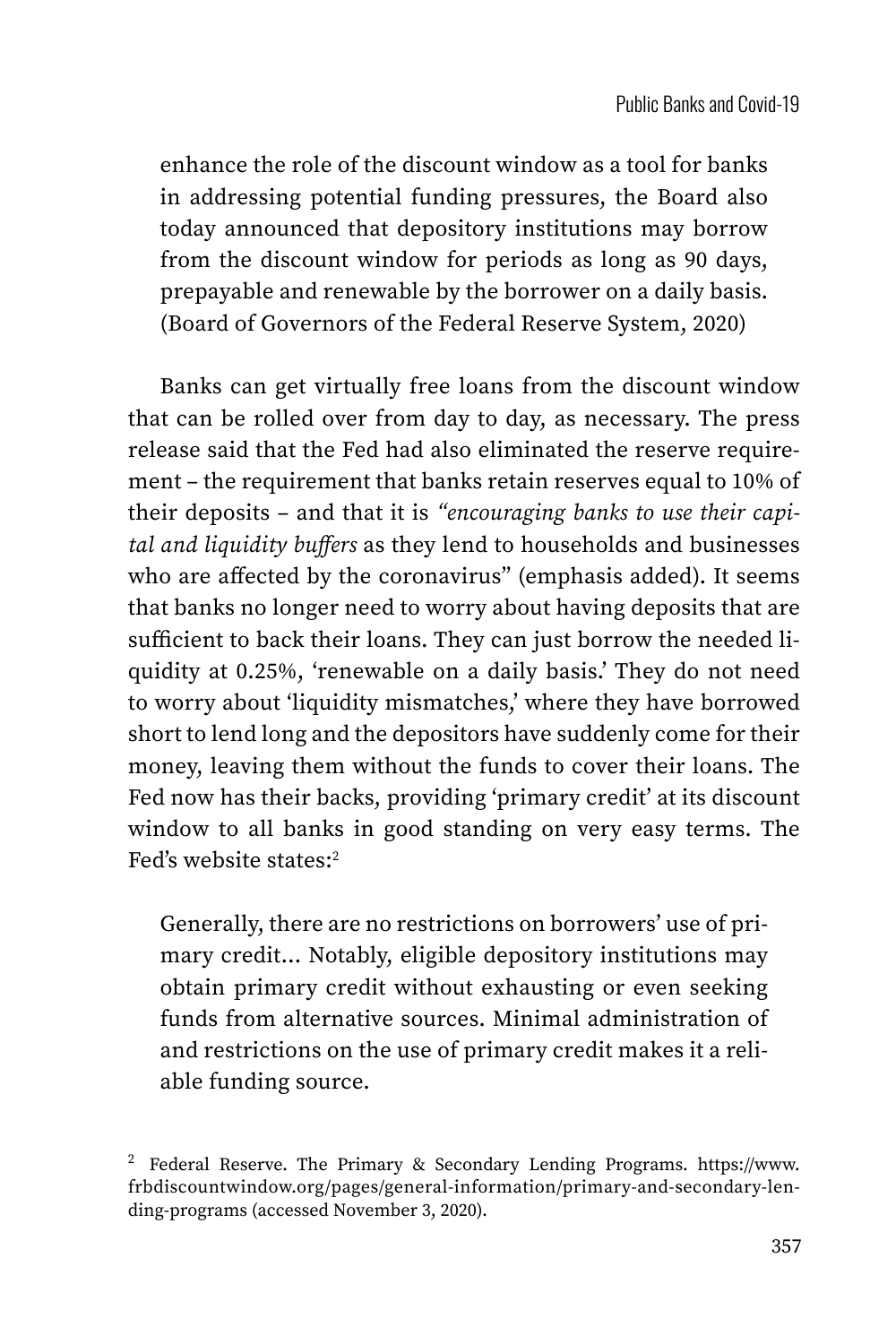enhance the role of the discount window as a tool for banks in addressing potential funding pressures, the Board also today announced that depository institutions may borrow from the discount window for periods as long as 90 days, prepayable and renewable by the borrower on a daily basis. (Board of Governors of the Federal Reserve System, 2020)

Banks can get virtually free loans from the discount window that can be rolled over from day to day, as necessary. The press release said that the Fed had also eliminated the reserve requirement – the requirement that banks retain reserves equal to 10% of their deposits – and that it is *"encouraging banks to use their capital and liquidity buffers* as they lend to households and businesses who are affected by the coronavirus" (emphasis added). It seems that banks no longer need to worry about having deposits that are sufficient to back their loans. They can just borrow the needed liquidity at 0.25%, 'renewable on a daily basis.' They do not need to worry about 'liquidity mismatches,' where they have borrowed short to lend long and the depositors have suddenly come for their money, leaving them without the funds to cover their loans. The Fed now has their backs, providing 'primary credit' at its discount window to all banks in good standing on very easy terms. The Fed's website states:2

Generally, there are no restrictions on borrowers' use of primary credit… Notably, eligible depository institutions may obtain primary credit without exhausting or even seeking funds from alternative sources. Minimal administration of and restrictions on the use of primary credit makes it a reliable funding source.

<sup>2</sup> Federal Reserve. The Primary & Secondary Lending Programs. [https://www.](https://www.frbdiscountwindow.org/pages/general-information/primary-and-secondary-lending-programs) [frbdiscountwindow.org/pages/general-information/primary-and-secondary-len](https://www.frbdiscountwindow.org/pages/general-information/primary-and-secondary-lending-programs)[ding-programs](https://www.frbdiscountwindow.org/pages/general-information/primary-and-secondary-lending-programs) (accessed November 3, 2020).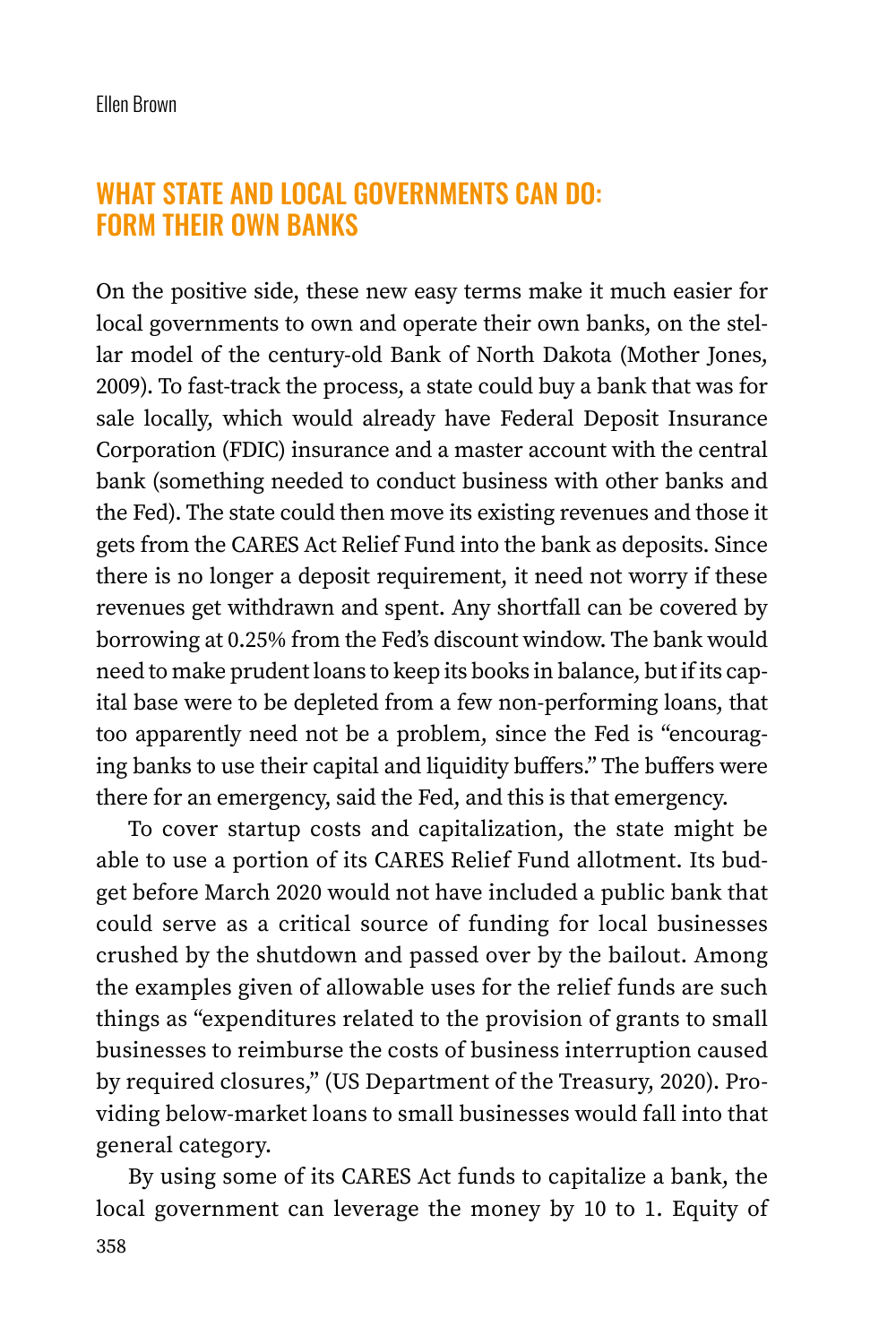#### WHAT STATE AND LOCAL GOVERNMENTS CAN DO: FORM THEIR OWN BANKS

On the positive side, these new easy terms make it much easier for local governments to own and operate their own banks, on the stellar model of the century-old Bank of North Dakota (Mother Jones, 2009). To fast-track the process, a state could buy a bank that was for sale locally, which would already have Federal Deposit Insurance Corporation (FDIC) insurance and a master account with the central bank (something needed to conduct business with other banks and the Fed). The state could then move its existing revenues and those it gets from the CARES Act Relief Fund into the bank as deposits. Since there is no longer a deposit requirement, it need not worry if these revenues get withdrawn and spent. Any shortfall can be covered by borrowing at 0.25% from the Fed's discount window. The bank would need to make prudent loans to keep its books in balance, but if its capital base were to be depleted from a few non-performing loans, that too apparently need not be a problem, since the Fed is "encouraging banks to use their capital and liquidity buffers." The buffers were there for an emergency, said the Fed, and this is that emergency.

To cover startup costs and capitalization, the state might be able to use a portion of its CARES Relief Fund allotment. Its budget before March 2020 would not have included a public bank that could serve as a critical source of funding for local businesses crushed by the shutdown and passed over by the bailout. Among the examples given of allowable uses for the relief funds are such things as "expenditures related to the provision of grants to small businesses to reimburse the costs of business interruption caused by required closures," (US Department of the Treasury, 2020). Providing below-market loans to small businesses would fall into that general category.

By using some of its CARES Act funds to capitalize a bank, the local government can leverage the money by 10 to 1. Equity of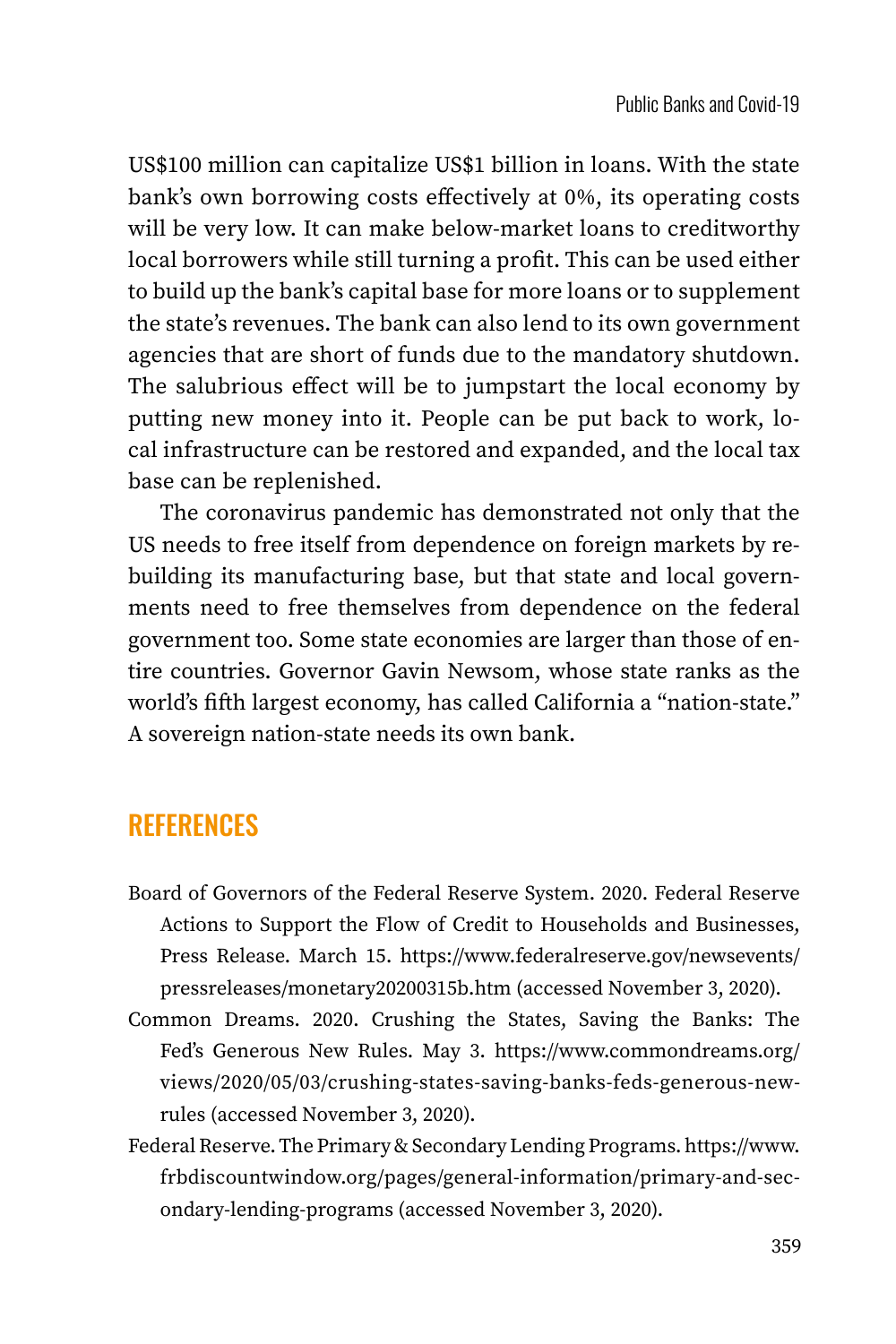US\$100 million can capitalize US\$1 billion in loans. With the state bank's own borrowing costs effectively at 0%, its operating costs will be very low. It can make below-market loans to creditworthy local borrowers while still turning a profit. This can be used either to build up the bank's capital base for more loans or to supplement the state's revenues. The bank can also lend to its own government agencies that are short of funds due to the mandatory shutdown. The salubrious effect will be to jumpstart the local economy by putting new money into it. People can be put back to work, local infrastructure can be restored and expanded, and the local tax base can be replenished.

The coronavirus pandemic has demonstrated not only that the US needs to free itself from dependence on foreign markets by rebuilding its manufacturing base, but that state and local governments need to free themselves from dependence on the federal government too. Some state economies are larger than those of entire countries. Governor Gavin Newsom, whose state ranks as the world's fifth largest economy, has called California a "nation-state." A sovereign nation-state needs its own bank.

### **REFERENCES**

- Board of Governors of the Federal Reserve System. 2020. Federal Reserve Actions to Support the Flow of Credit to Households and Businesses, Press Release. March 15. [https://www.federalreserve.gov/newsevents/](https://www.federalreserve.gov/newsevents/pressreleases/monetary20200315b.htm) [pressreleases/monetary20200315b.htm](https://www.federalreserve.gov/newsevents/pressreleases/monetary20200315b.htm) (accessed November 3, 2020).
- Common Dreams. 2020. Crushing the States, Saving the Banks: The Fed's Generous New Rules. May 3. [https://www.commondreams.org/](https://www.commondreams.org/views/2020/05/03/crushing-states-saving-banks-feds-generous-new-rules) [views/2020/05/03/crushing-states-saving-banks-feds-generous-new](https://www.commondreams.org/views/2020/05/03/crushing-states-saving-banks-feds-generous-new-rules)[rules](https://www.commondreams.org/views/2020/05/03/crushing-states-saving-banks-feds-generous-new-rules) (accessed November 3, 2020).
- Federal Reserve. The Primary & Secondary Lending Programs. [https://www.](https://www.frbdiscountwindow.org/pages/general-information/primary-and-secondary-lending-programs) [frbdiscountwindow.org/pages/general-information/primary-and-sec](https://www.frbdiscountwindow.org/pages/general-information/primary-and-secondary-lending-programs)[ondary-lending-programs](https://www.frbdiscountwindow.org/pages/general-information/primary-and-secondary-lending-programs) (accessed November 3, 2020).